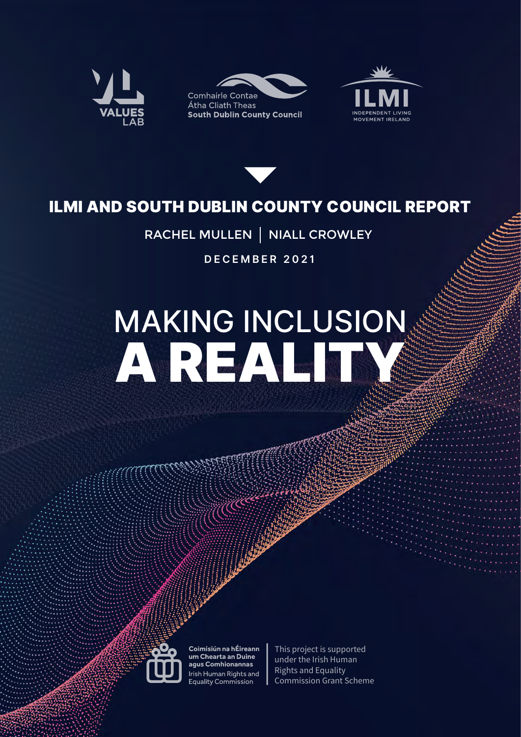







# ILMI AND SOUTH DUBLIN COUNTY COUNCIL REPORT

RACHEL MULLEN | NIALL CROWLEY

**DECEMBER 2021**

# AREALITY MAKING INCLUSION



Coimisiún na hÉireann um Chearta an Duine agus Comhionannas Irish Human Rights and Equality Commission

This project is supported under the Irish Human **Rights and Equality Commission Grant Scheme**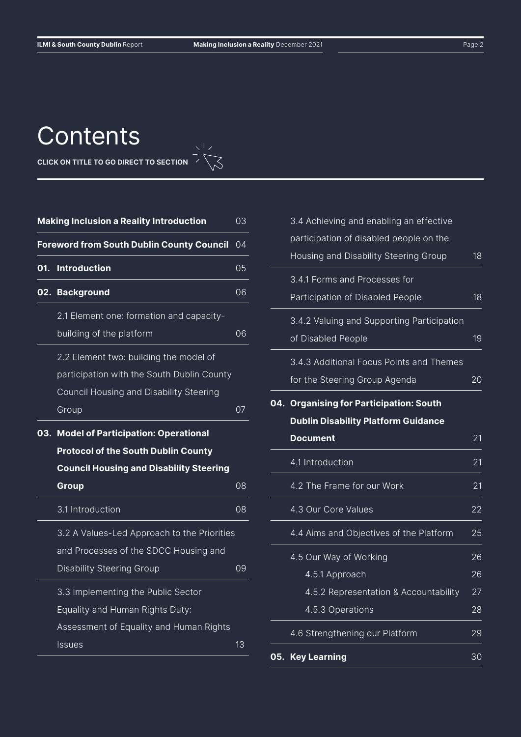# **Contents**

**CLICK ON TITLE TO GO DIRECT TO SECTION**

|     | <b>Making Inclusion a Reality Introduction</b>   | 03              |
|-----|--------------------------------------------------|-----------------|
|     | <b>Foreword from South Dublin County Council</b> | $\overline{04}$ |
| 01. | <b>Introduction</b>                              | 05              |
|     | 02. Background                                   | 06              |
|     | 2.1 Element one: formation and capacity-         |                 |
|     | building of the platform                         | 06              |
|     | 2.2 Element two: building the model of           |                 |
|     | participation with the South Dublin County       |                 |
|     | Council Housing and Disability Steering          |                 |
|     | Group                                            | 07              |
| 03. | <b>Model of Participation: Operational</b>       |                 |
|     | <b>Protocol of the South Dublin County</b>       |                 |
|     | <b>Council Housing and Disability Steering</b>   |                 |
|     | Group                                            | 08              |
|     | 3.1 Introduction                                 | 08              |
|     | 3.2 A Values-Led Approach to the Priorities      |                 |
|     | and Processes of the SDCC Housing and            |                 |
|     | <b>Disability Steering Group</b>                 | 09              |
|     | 3.3 Implementing the Public Sector               |                 |
|     | Equality and Human Rights Duty:                  |                 |
|     | Assessment of Equality and Human Rights          |                 |
|     | Issues                                           | 13              |

| 05. | <b>Key Learning</b>                                                                | 30              |
|-----|------------------------------------------------------------------------------------|-----------------|
|     | 4.6 Strengthening our Platform                                                     | 29              |
|     | 4.5.3 Operations                                                                   | 28              |
|     | 4.5.2 Representation & Accountability                                              | 27              |
|     | 4.5.1 Approach                                                                     | 26              |
|     | 4.5 Our Way of Working                                                             | 26              |
|     | 4.4 Aims and Objectives of the Platform                                            | 25              |
|     | 4.3 Our Core Values                                                                | 22              |
|     | 4.2 The Frame for our Work                                                         | 21              |
|     | 4.1 Introduction                                                                   | 21              |
|     | <b>Document</b>                                                                    | $\overline{21}$ |
|     | <b>Dublin Disability Platform Guidance</b>                                         |                 |
|     | 04. Organising for Participation: South                                            |                 |
|     | for the Steering Group Agenda                                                      | 20              |
|     | 3.4.3 Additional Focus Points and Themes                                           |                 |
|     | 3.4.2 Valuing and Supporting Participation<br>of Disabled People                   | 19              |
|     | Participation of Disabled People                                                   | 18              |
|     | 3.4.1 Forms and Processes for                                                      |                 |
|     | Housing and Disability Steering Group                                              | 18              |
|     | 3.4 Achieving and enabling an effective<br>participation of disabled people on the |                 |
|     |                                                                                    |                 |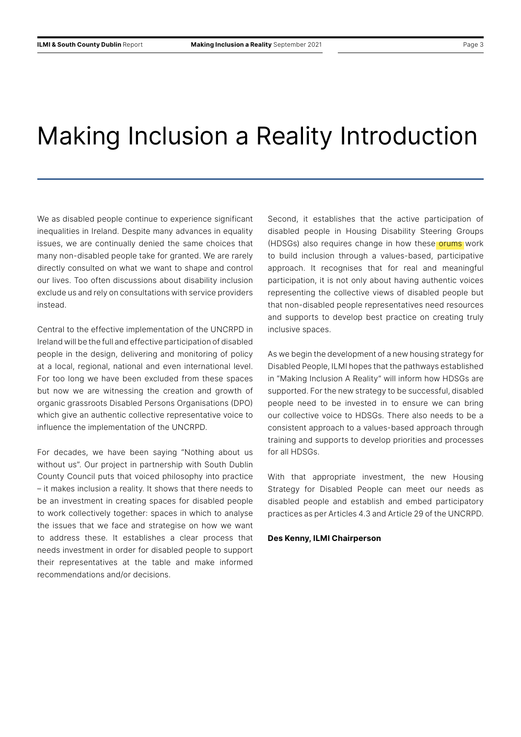# <span id="page-2-0"></span>Making Inclusion a Reality Introduction

We as disabled people continue to experience significant inequalities in Ireland. Despite many advances in equality issues, we are continually denied the same choices that many non-disabled people take for granted. We are rarely directly consulted on what we want to shape and control our lives. Too often discussions about disability inclusion exclude us and rely on consultations with service providers instead.

Central to the effective implementation of the UNCRPD in Ireland will be the full and effective participation of disabled people in the design, delivering and monitoring of policy at a local, regional, national and even international level. For too long we have been excluded from these spaces but now we are witnessing the creation and growth of organic grassroots Disabled Persons Organisations (DPO) which give an authentic collective representative voice to influence the implementation of the UNCRPD.

For decades, we have been saying "Nothing about us without us". Our project in partnership with South Dublin County Council puts that voiced philosophy into practice – it makes inclusion a reality. It shows that there needs to be an investment in creating spaces for disabled people to work collectively together: spaces in which to analyse the issues that we face and strategise on how we want to address these. It establishes a clear process that needs investment in order for disabled people to support their representatives at the table and make informed recommendations and/or decisions.

Second, it establishes that the active participation of disabled people in Housing Disability Steering Groups (HDSGs) also requires change in how these orums work to build inclusion through a values-based, participative approach. It recognises that for real and meaningful participation, it is not only about having authentic voices representing the collective views of disabled people but that non-disabled people representatives need resources and supports to develop best practice on creating truly inclusive spaces.

As we begin the development of a new housing strategy for Disabled People, ILMI hopes that the pathways established in "Making Inclusion A Reality" will inform how HDSGs are supported. For the new strategy to be successful, disabled people need to be invested in to ensure we can bring our collective voice to HDSGs. There also needs to be a consistent approach to a values-based approach through training and supports to develop priorities and processes for all HDSGs.

With that appropriate investment, the new Housing Strategy for Disabled People can meet our needs as disabled people and establish and embed participatory practices as per Articles 4.3 and Article 29 of the UNCRPD.

#### **Des Kenny, ILMI Chairperson**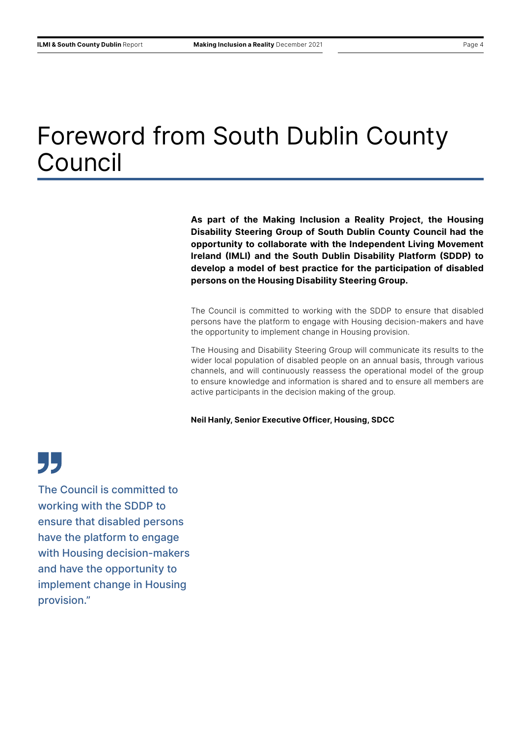# <span id="page-3-0"></span>Foreword from South Dublin County Council

**As part of the Making Inclusion a Reality Project, the Housing Disability Steering Group of South Dublin County Council had the opportunity to collaborate with the Independent Living Movement Ireland (IMLI) and the South Dublin Disability Platform (SDDP) to develop a model of best practice for the participation of disabled persons on the Housing Disability Steering Group.**

The Council is committed to working with the SDDP to ensure that disabled persons have the platform to engage with Housing decision-makers and have the opportunity to implement change in Housing provision.

The Housing and Disability Steering Group will communicate its results to the wider local population of disabled people on an annual basis, through various channels, and will continuously reassess the operational model of the group to ensure knowledge and information is shared and to ensure all members are active participants in the decision making of the group.

**Neil Hanly, Senior Executive Officer, Housing, SDCC**

# 55

The Council is committed to working with the SDDP to ensure that disabled persons have the platform to engage with Housing decision-makers and have the opportunity to implement change in Housing provision."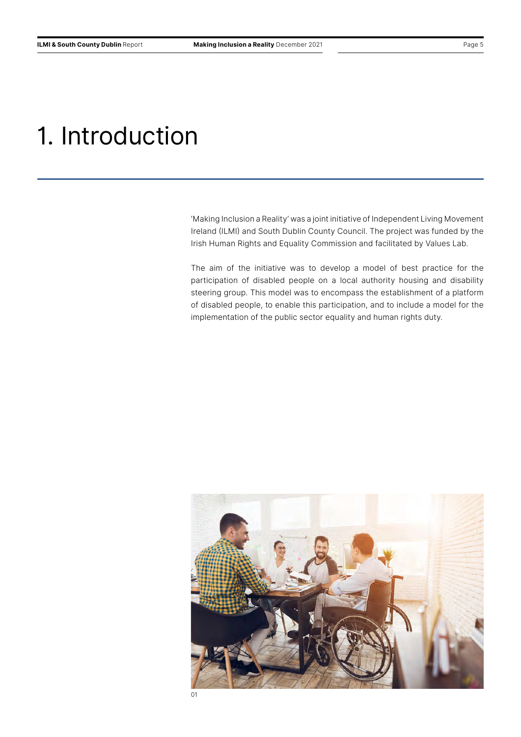# <span id="page-4-0"></span>1. Introduction

'Making Inclusion a Reality' was a joint initiative of Independent Living Movement Ireland (ILMI) and South Dublin County Council. The project was funded by the Irish Human Rights and Equality Commission and facilitated by Values Lab.

The aim of the initiative was to develop a model of best practice for the participation of disabled people on a local authority housing and disability steering group. This model was to encompass the establishment of a platform of disabled people, to enable this participation, and to include a model for the implementation of the public sector equality and human rights duty.

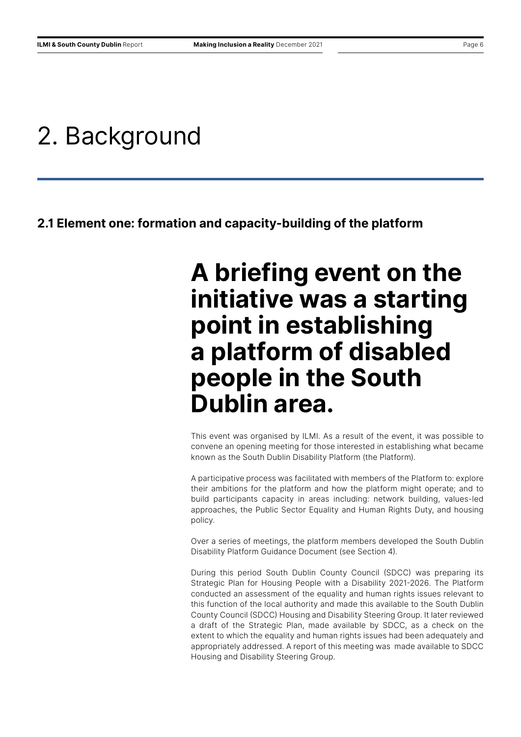# <span id="page-5-0"></span>2. Background

### **2.1 Element one: formation and capacity-building of the platform**

# **A briefing event on the initiative was a starting point in establishing a platform of disabled people in the South Dublin area.**

This event was organised by ILMI. As a result of the event, it was possible to convene an opening meeting for those interested in establishing what became known as the South Dublin Disability Platform (the Platform).

A participative process was facilitated with members of the Platform to: explore their ambitions for the platform and how the platform might operate; and to build participants capacity in areas including: network building, values-led approaches, the Public Sector Equality and Human Rights Duty, and housing policy.

Over a series of meetings, the platform members developed the South Dublin Disability Platform Guidance Document (see Section 4).

During this period South Dublin County Council (SDCC) was preparing its Strategic Plan for Housing People with a Disability 2021-2026. The Platform conducted an assessment of the equality and human rights issues relevant to this function of the local authority and made this available to the South Dublin County Council (SDCC) Housing and Disability Steering Group. It later reviewed a draft of the Strategic Plan, made available by SDCC, as a check on the extent to which the equality and human rights issues had been adequately and appropriately addressed. A report of this meeting was made available to SDCC Housing and Disability Steering Group.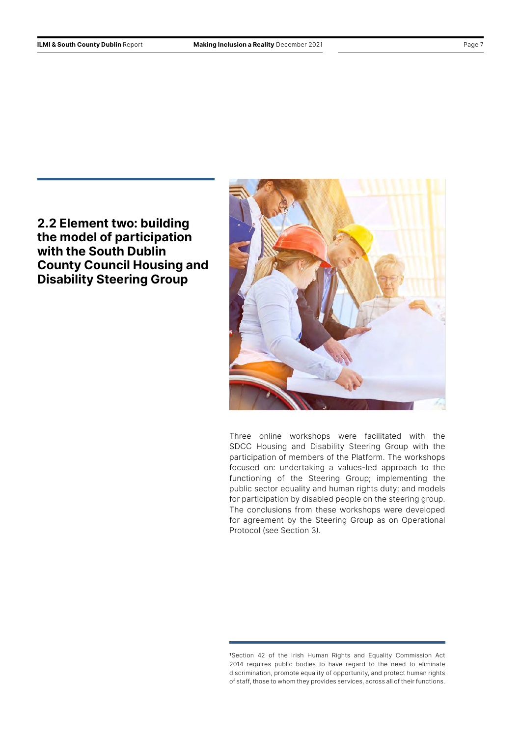## <span id="page-6-0"></span>**2.2 Element two: building the model of participation with the South Dublin County Council Housing and Disability Steering Group**



Three online workshops were facilitated with the SDCC Housing and Disability Steering Group with the participation of members of the Platform. The workshops focused on: undertaking a values-led approach to the functioning of the Steering Group; implementing the public sector equality and human rights duty; and models for participation by disabled people on the steering group. The conclusions from these workshops were developed for agreement by the Steering Group as on Operational Protocol (see Section 3).

<sup>1</sup>Section 42 of the Irish Human Rights and Equality Commission Act 2014 requires public bodies to have regard to the need to eliminate discrimination, promote equality of opportunity, and protect human rights of staff, those to whom they provides services, across all of their functions.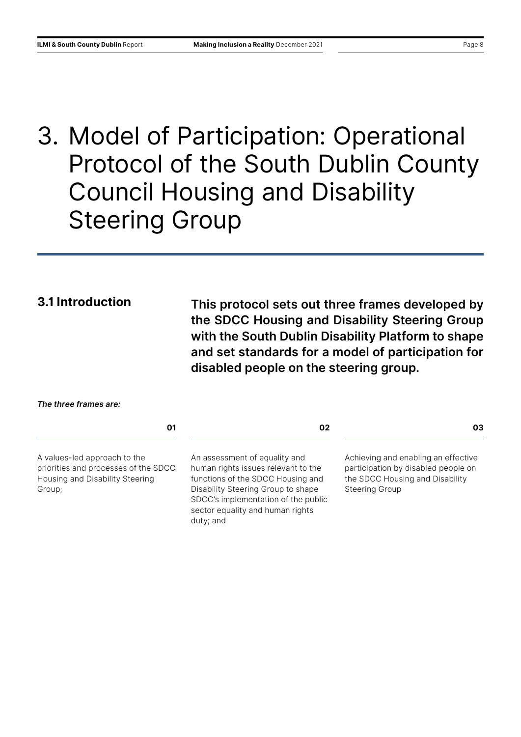# <span id="page-7-0"></span>3. Model of Participation: Operational Protocol of the South Dublin County Council Housing and Disability Steering Group

### **3.1 Introduction**

**This protocol sets out three frames developed by the SDCC Housing and Disability Steering Group with the South Dublin Disability Platform to shape and set standards for a model of participation for disabled people on the steering group.**

#### *The three frames are:*

| 01                                                                                                                | 02                                                                                                                                                                                                                                      | 03                                                                                                                                     |
|-------------------------------------------------------------------------------------------------------------------|-----------------------------------------------------------------------------------------------------------------------------------------------------------------------------------------------------------------------------------------|----------------------------------------------------------------------------------------------------------------------------------------|
| A values-led approach to the<br>priorities and processes of the SDCC<br>Housing and Disability Steering<br>Group; | An assessment of equality and<br>human rights issues relevant to the<br>functions of the SDCC Housing and<br>Disability Steering Group to shape<br>SDCC's implementation of the public<br>sector equality and human rights<br>duty; and | Achieving and enabling an effective<br>participation by disabled people on<br>the SDCC Housing and Disability<br><b>Steering Group</b> |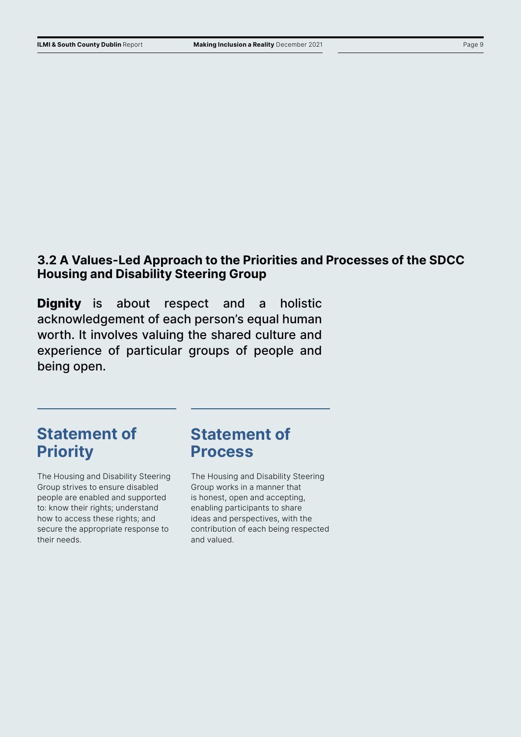## <span id="page-8-0"></span>**3.2 A Values-Led Approach to the Priorities and Processes of the SDCC Housing and Disability Steering Group**

**Dignity** is about respect and a holistic acknowledgement of each person's equal human worth. It involves valuing the shared culture and experience of particular groups of people and being open.

# **Statement of Priority**

The Housing and Disability Steering Group strives to ensure disabled people are enabled and supported to: know their rights; understand how to access these rights; and secure the appropriate response to their needs.

# **Statement of Process**

The Housing and Disability Steering Group works in a manner that is honest, open and accepting, enabling participants to share ideas and perspectives, with the contribution of each being respected and valued.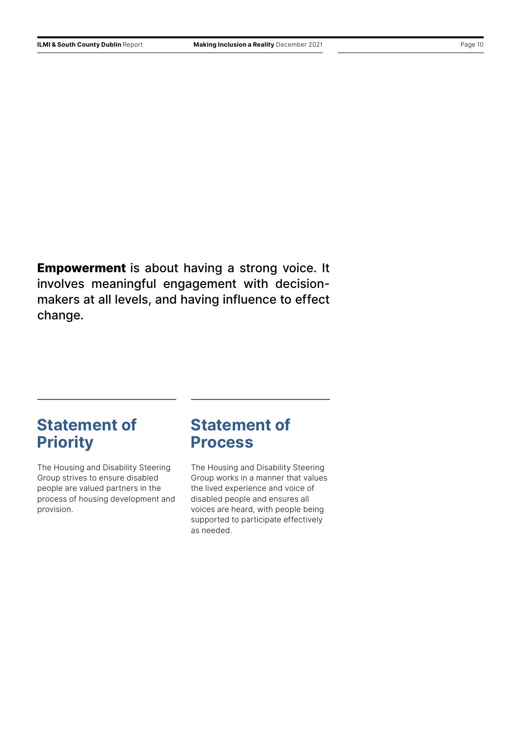**Empowerment** is about having a strong voice. It involves meaningful engagement with decisionmakers at all levels, and having influence to effect change.

# **Statement of Priority**

The Housing and Disability Steering Group strives to ensure disabled people are valued partners in the process of housing development and provision.

# **Statement of Process**

The Housing and Disability Steering Group works in a manner that values the lived experience and voice of disabled people and ensures all voices are heard, with people being supported to participate effectively as needed.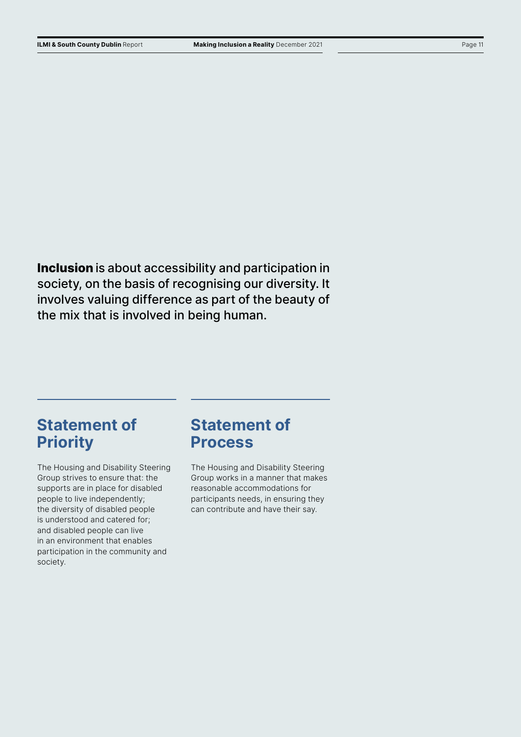**Inclusion** is about accessibility and participation in society, on the basis of recognising our diversity. It involves valuing difference as part of the beauty of the mix that is involved in being human.

# **Statement of Priority**

The Housing and Disability Steering Group strives to ensure that: the supports are in place for disabled people to live independently; the diversity of disabled people is understood and catered for; and disabled people can live in an environment that enables participation in the community and society.

# **Statement of Process**

The Housing and Disability Steering Group works in a manner that makes reasonable accommodations for participants needs, in ensuring they can contribute and have their say.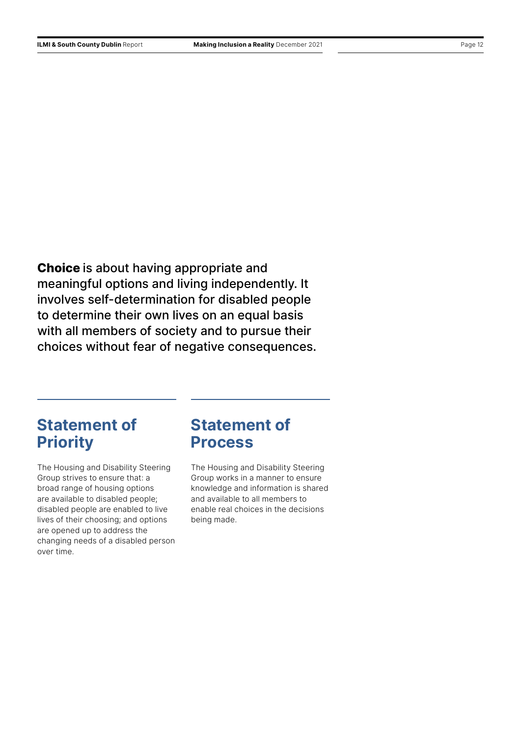**Choice** is about having appropriate and meaningful options and living independently. It involves self-determination for disabled people to determine their own lives on an equal basis with all members of society and to pursue their choices without fear of negative consequences.

# **Statement of Priority**

The Housing and Disability Steering Group strives to ensure that: a broad range of housing options are available to disabled people; disabled people are enabled to live lives of their choosing; and options are opened up to address the changing needs of a disabled person over time.

# **Statement of Process**

The Housing and Disability Steering Group works in a manner to ensure knowledge and information is shared and available to all members to enable real choices in the decisions being made.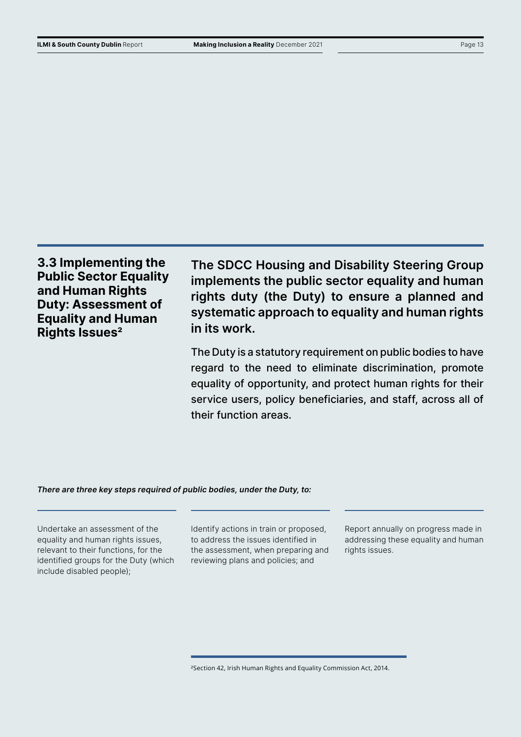<span id="page-12-0"></span>**3.3 Implementing the Public Sector Equality and Human Rights Duty: Assessment of Equality and Human Rights Issues2**

**The SDCC Housing and Disability Steering Group implements the public sector equality and human rights duty (the Duty) to ensure a planned and systematic approach to equality and human rights in its work.**

The Duty is a statutory requirement on public bodies to have regard to the need to eliminate discrimination, promote equality of opportunity, and protect human rights for their service users, policy beneficiaries, and staff, across all of their function areas.

#### *There are three key steps required of public bodies, under the Duty, to:*

Undertake an assessment of the equality and human rights issues, relevant to their functions, for the identified groups for the Duty (which include disabled people);

Identify actions in train or proposed, to address the issues identified in the assessment, when preparing and reviewing plans and policies; and

Report annually on progress made in addressing these equality and human rights issues.

²Section 42, Irish Human Rights and Equality Commission Act, 2014.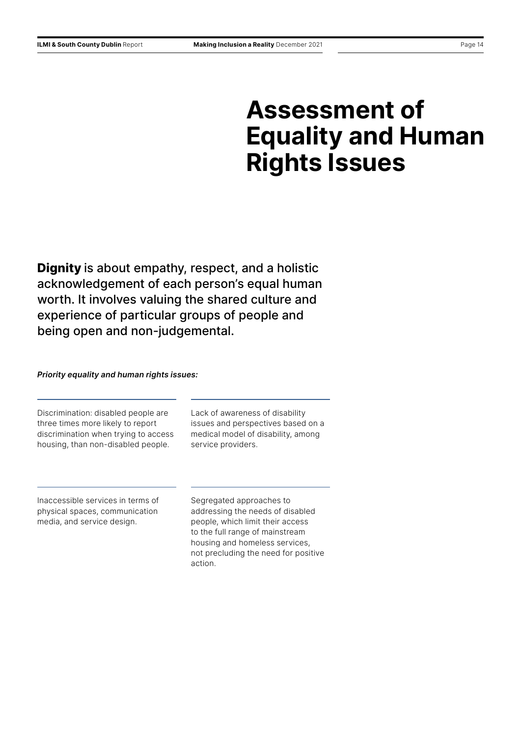# **Assessment of Equality and Human Rights Issues**

**Dignity** is about empathy, respect, and a holistic acknowledgement of each person's equal human worth. It involves valuing the shared culture and experience of particular groups of people and being open and non-judgemental.

#### *Priority equality and human rights issues:*

Discrimination: disabled people are three times more likely to report discrimination when trying to access housing, than non-disabled people.

Lack of awareness of disability issues and perspectives based on a medical model of disability, among service providers.

Inaccessible services in terms of physical spaces, communication media, and service design.

Segregated approaches to addressing the needs of disabled people, which limit their access to the full range of mainstream housing and homeless services, not precluding the need for positive action.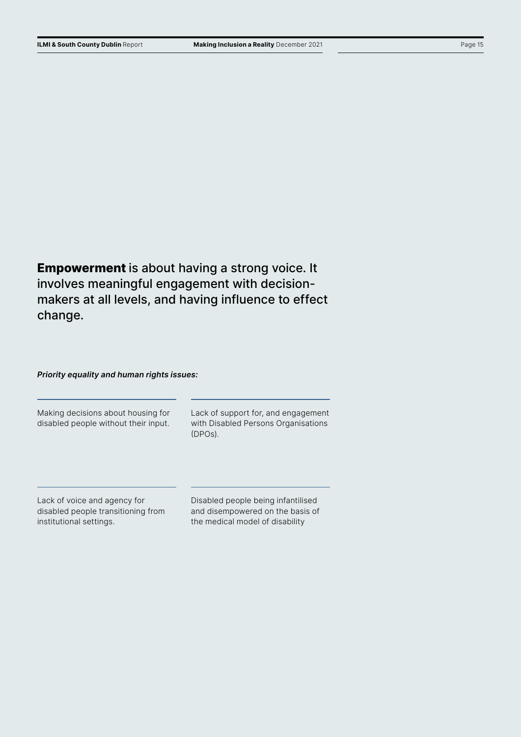**Empowerment** is about having a strong voice. It involves meaningful engagement with decisionmakers at all levels, and having influence to effect change.

#### *Priority equality and human rights issues:*

| Making decisions about housing for<br>disabled people without their input. | Lack of support for, and engagement<br>with Disabled Persons Organisations<br>(DPO <sub>s</sub> ). |
|----------------------------------------------------------------------------|----------------------------------------------------------------------------------------------------|
|                                                                            |                                                                                                    |

Lack of voice and agency for disabled people transitioning from institutional settings.

Disabled people being infantilised and disempowered on the basis of the medical model of disability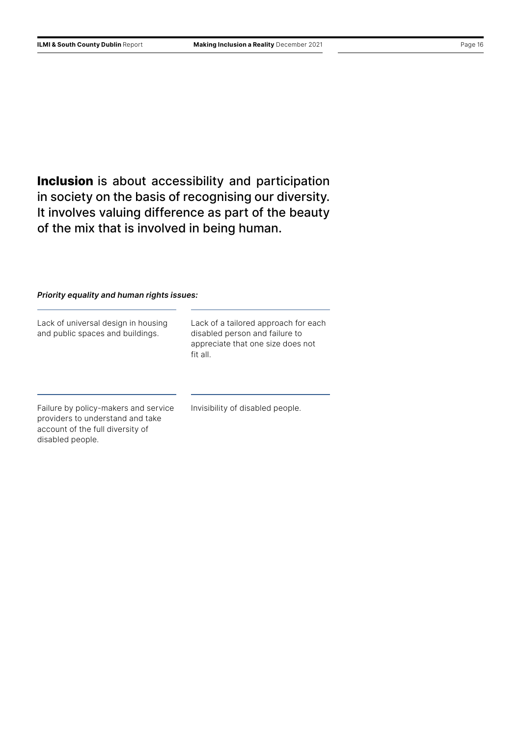**Inclusion** is about accessibility and participation in society on the basis of recognising our diversity. It involves valuing difference as part of the beauty of the mix that is involved in being human.

### *Priority equality and human rights issues:*

| Lack of universal design in housing<br>and public spaces and buildings.                                                          | Lack of a tailored approach for each<br>disabled person and failure to<br>appreciate that one size does not<br>fit all. |
|----------------------------------------------------------------------------------------------------------------------------------|-------------------------------------------------------------------------------------------------------------------------|
| Failure by policy-makers and service<br>providers to understand and take<br>account of the full diversity of<br>disabled people. | Invisibility of disabled people.                                                                                        |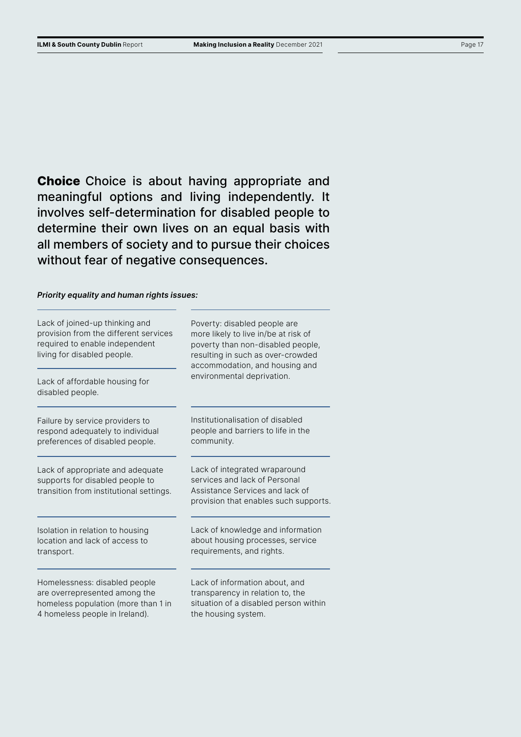**Choice** Choice is about having appropriate and meaningful options and living independently. It involves self-determination for disabled people to determine their own lives on an equal basis with all members of society and to pursue their choices without fear of negative consequences.

### *Priority equality and human rights issues:*

| Lack of joined-up thinking and<br>provision from the different services<br>required to enable independent<br>living for disabled people. | Poverty: disabled people are<br>more likely to live in/be at risk of<br>poverty than non-disabled people,<br>resulting in such as over-crowded<br>accommodation, and housing and |
|------------------------------------------------------------------------------------------------------------------------------------------|----------------------------------------------------------------------------------------------------------------------------------------------------------------------------------|
| Lack of affordable housing for<br>disabled people.                                                                                       | environmental deprivation.                                                                                                                                                       |
| Failure by service providers to<br>respond adequately to individual<br>preferences of disabled people.                                   | Institutionalisation of disabled<br>people and barriers to life in the<br>community.                                                                                             |
| Lack of appropriate and adequate<br>supports for disabled people to<br>transition from institutional settings.                           | Lack of integrated wraparound<br>services and lack of Personal<br>Assistance Services and lack of<br>provision that enables such supports.                                       |
| Isolation in relation to housing<br>location and lack of access to<br>transport.                                                         | Lack of knowledge and information<br>about housing processes, service<br>requirements, and rights.                                                                               |
| Homelessness: disabled people<br>are overrepresented among the<br>homeless population (more than 1 in<br>4 homeless people in Ireland).  | Lack of information about, and<br>transparency in relation to, the<br>situation of a disabled person within<br>the housing system.                                               |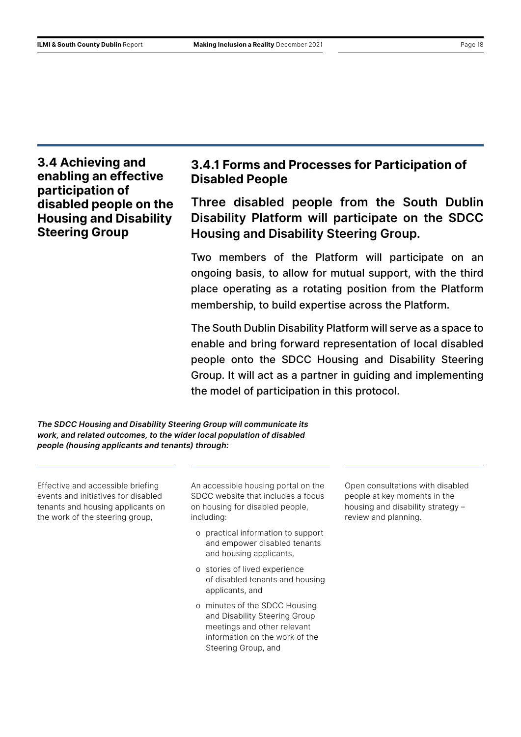<span id="page-17-0"></span>**3.4 Achieving and enabling an effective participation of disabled people on the Housing and Disability Steering Group**

### **3.4.1 Forms and Processes for Participation of Disabled People**

**Three disabled people from the South Dublin Disability Platform will participate on the SDCC Housing and Disability Steering Group.**

Two members of the Platform will participate on an ongoing basis, to allow for mutual support, with the third place operating as a rotating position from the Platform membership, to build expertise across the Platform.

The South Dublin Disability Platform will serve as a space to enable and bring forward representation of local disabled people onto the SDCC Housing and Disability Steering Group. It will act as a partner in guiding and implementing the model of participation in this protocol.

*The SDCC Housing and Disability Steering Group will communicate its work, and related outcomes, to the wider local population of disabled people (housing applicants and tenants) through:*

Effective and accessible briefing events and initiatives for disabled tenants and housing applicants on the work of the steering group,

An accessible housing portal on the SDCC website that includes a focus on housing for disabled people, including:

- o practical information to support and empower disabled tenants and housing applicants,
- o stories of lived experience of disabled tenants and housing applicants, and
- o minutes of the SDCC Housing and Disability Steering Group meetings and other relevant information on the work of the Steering Group, and

Open consultations with disabled people at key moments in the housing and disability strategy – review and planning.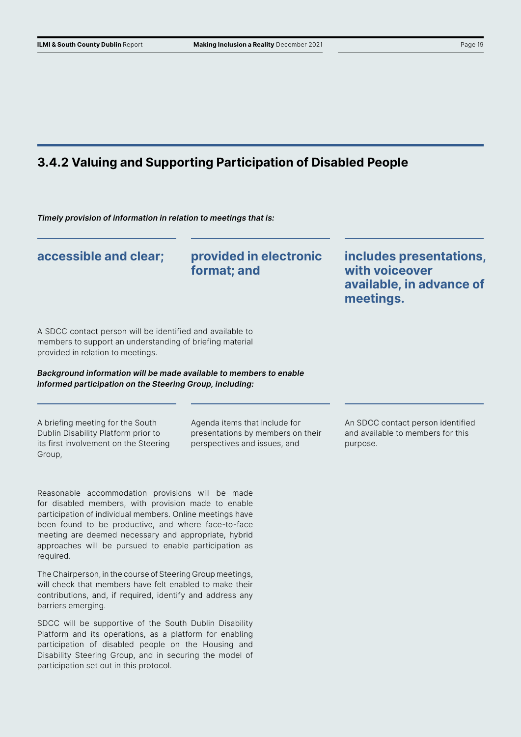### <span id="page-18-0"></span>**3.4.2 Valuing and Supporting Participation of Disabled People**

*Timely provision of information in relation to meetings that is:*

### **accessible and clear; provided in electronic**

# **format; and**

## **includes presentations, with voiceover available, in advance of meetings.**

A SDCC contact person will be identified and available to members to support an understanding of briefing material provided in relation to meetings.

*Background information will be made available to members to enable informed participation on the Steering Group, including:*

A briefing meeting for the South Dublin Disability Platform prior to its first involvement on the Steering Group,

Agenda items that include for presentations by members on their perspectives and issues, and

An SDCC contact person identified and available to members for this purpose.

Reasonable accommodation provisions will be made for disabled members, with provision made to enable participation of individual members. Online meetings have been found to be productive, and where face-to-face meeting are deemed necessary and appropriate, hybrid approaches will be pursued to enable participation as required.

The Chairperson, in the course of Steering Group meetings, will check that members have felt enabled to make their contributions, and, if required, identify and address any barriers emerging.

SDCC will be supportive of the South Dublin Disability Platform and its operations, as a platform for enabling participation of disabled people on the Housing and Disability Steering Group, and in securing the model of participation set out in this protocol.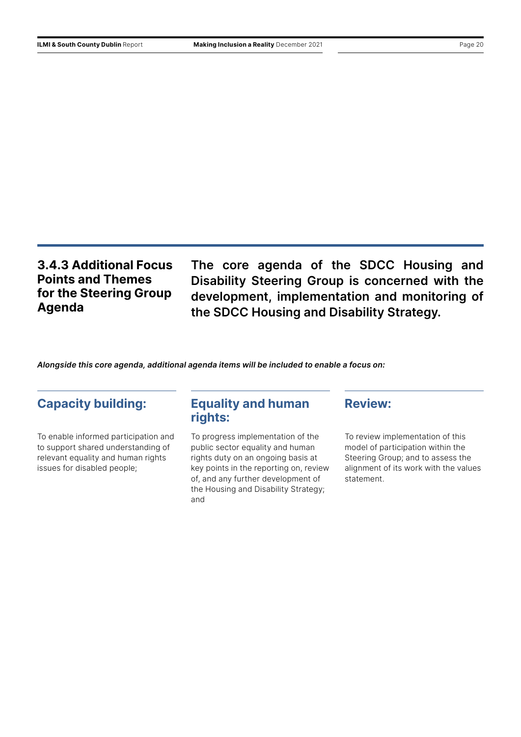## <span id="page-19-0"></span>**3.4.3 Additional Focus Points and Themes for the Steering Group Agenda**

**The core agenda of the SDCC Housing and Disability Steering Group is concerned with the development, implementation and monitoring of the SDCC Housing and Disability Strategy.**

*Alongside this core agenda, additional agenda items will be included to enable a focus on:*

## **Capacity building: Equality and human**

To enable informed participation and to support shared understanding of relevant equality and human rights issues for disabled people;

# **rights:**

To progress implementation of the public sector equality and human rights duty on an ongoing basis at key points in the reporting on, review of, and any further development of the Housing and Disability Strategy; and

### **Review:**

To review implementation of this model of participation within the Steering Group; and to assess the alignment of its work with the values statement.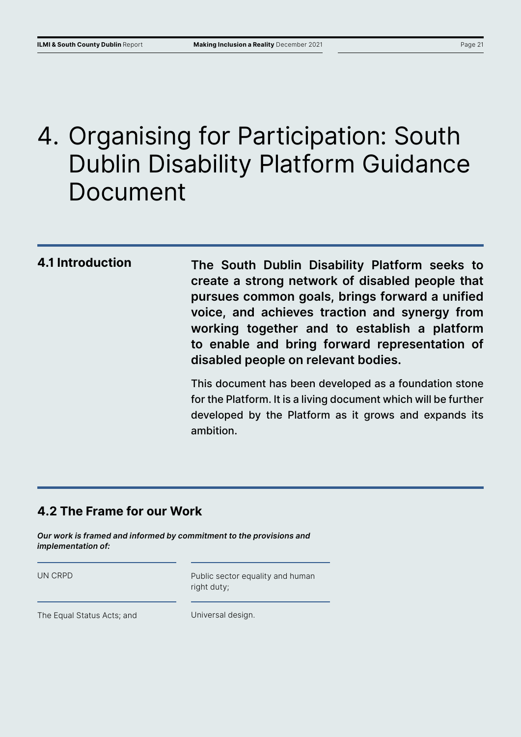# <span id="page-20-0"></span>4. Organising for Participation: South Dublin Disability Platform Guidance Document

### **4.1 Introduction**

**The South Dublin Disability Platform seeks to create a strong network of disabled people that pursues common goals, brings forward a unified voice, and achieves traction and synergy from working together and to establish a platform to enable and bring forward representation of disabled people on relevant bodies.**

This document has been developed as a foundation stone for the Platform. It is a living document which will be further developed by the Platform as it grows and expands its ambition.

### **4.2 The Frame for our Work**

*Our work is framed and informed by commitment to the provisions and implementation of:*

UN CRPD

Public sector equality and human right duty;

The Equal Status Acts; and Universal design.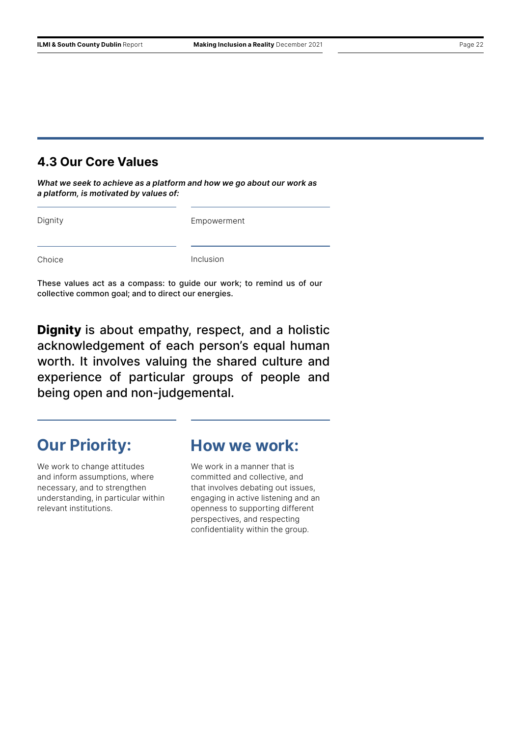### <span id="page-21-0"></span>**4.3 Our Core Values**

*What we seek to achieve as a platform and how we go about our work as a platform, is motivated by values of:*

Dignity

Empowerment

Choice Inclusion

These values act as a compass: to guide our work; to remind us of our collective common goal; and to direct our energies.

**Dignity** is about empathy, respect, and a holistic acknowledgement of each person's equal human worth. It involves valuing the shared culture and experience of particular groups of people and being open and non-judgemental.

We work to change attitudes and inform assumptions, where necessary, and to strengthen understanding, in particular within relevant institutions.

# **Our Priority: How we work:**

We work in a manner that is committed and collective, and that involves debating out issues, engaging in active listening and an openness to supporting different perspectives, and respecting confidentiality within the group.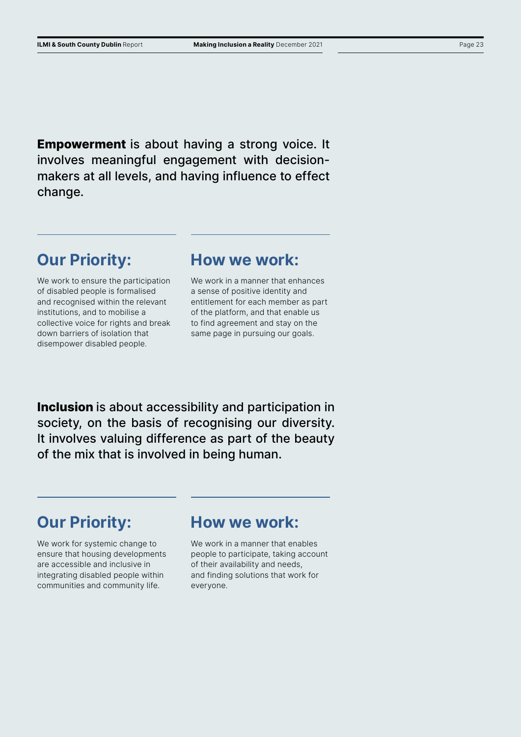**Empowerment** is about having a strong voice. It involves meaningful engagement with decisionmakers at all levels, and having influence to effect change.

# **Our Priority:**

We work to ensure the participation of disabled people is formalised and recognised within the relevant institutions, and to mobilise a collective voice for rights and break down barriers of isolation that disempower disabled people.

# **How we work:**

We work in a manner that enhances a sense of positive identity and entitlement for each member as part of the platform, and that enable us to find agreement and stay on the same page in pursuing our goals.

**Inclusion** is about accessibility and participation in society, on the basis of recognising our diversity. It involves valuing difference as part of the beauty of the mix that is involved in being human.

# **Our Priority:**

We work for systemic change to ensure that housing developments are accessible and inclusive in integrating disabled people within communities and community life.

# **How we work:**

We work in a manner that enables people to participate, taking account of their availability and needs, and finding solutions that work for everyone.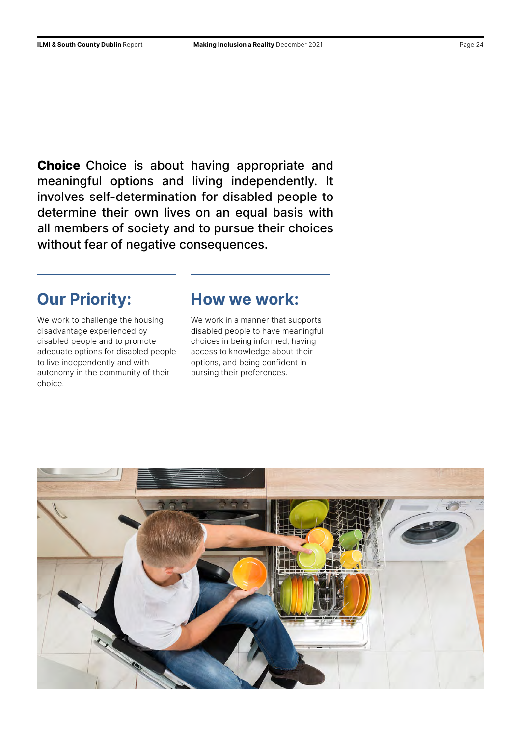**Choice** Choice is about having appropriate and meaningful options and living independently. It involves self-determination for disabled people to determine their own lives on an equal basis with all members of society and to pursue their choices without fear of negative consequences.

# **Our Priority: How we work:**

We work to challenge the housing disadvantage experienced by disabled people and to promote adequate options for disabled people to live independently and with autonomy in the community of their choice.

We work in a manner that supports disabled people to have meaningful choices in being informed, having access to knowledge about their options, and being confident in pursing their preferences.

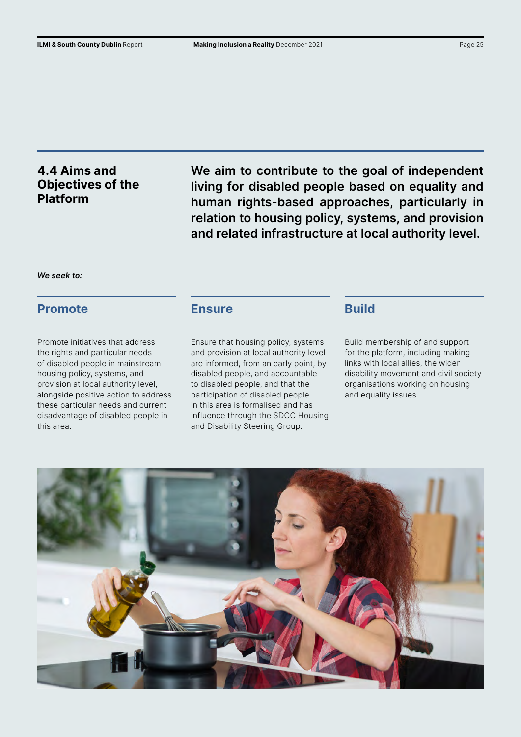### <span id="page-24-0"></span>**4.4 Aims and Objectives of the Platform**

**We aim to contribute to the goal of independent living for disabled people based on equality and human rights-based approaches, particularly in relation to housing policy, systems, and provision and related infrastructure at local authority level.**

#### *We seek to:*

### **Promote Ensure Ensure Build**

Promote initiatives that address the rights and particular needs of disabled people in mainstream housing policy, systems, and provision at local authority level, alongside positive action to address these particular needs and current disadvantage of disabled people in this area.

Ensure that housing policy, systems and provision at local authority level are informed, from an early point, by disabled people, and accountable to disabled people, and that the participation of disabled people in this area is formalised and has influence through the SDCC Housing and Disability Steering Group.

Build membership of and support for the platform, including making links with local allies, the wider disability movement and civil society organisations working on housing and equality issues.

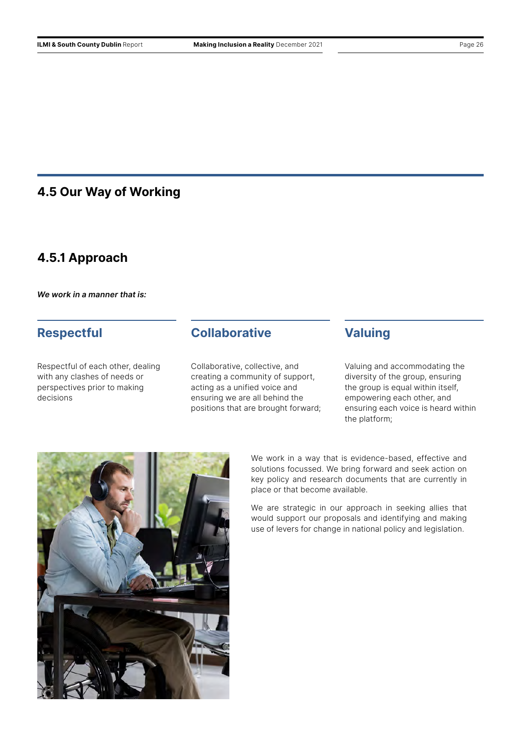## <span id="page-25-0"></span>**4.5 Our Way of Working**

### **4.5.1 Approach**

*We work in a manner that is:*

Respectful of each other, dealing with any clashes of needs or perspectives prior to making decisions

## **Respectful Collaborative Valuing**

Collaborative, collective, and creating a community of support, acting as a unified voice and ensuring we are all behind the positions that are brought forward;

Valuing and accommodating the diversity of the group, ensuring the group is equal within itself, empowering each other, and ensuring each voice is heard within the platform;



We work in a way that is evidence-based, effective and solutions focussed. We bring forward and seek action on key policy and research documents that are currently in place or that become available.

We are strategic in our approach in seeking allies that would support our proposals and identifying and making use of levers for change in national policy and legislation.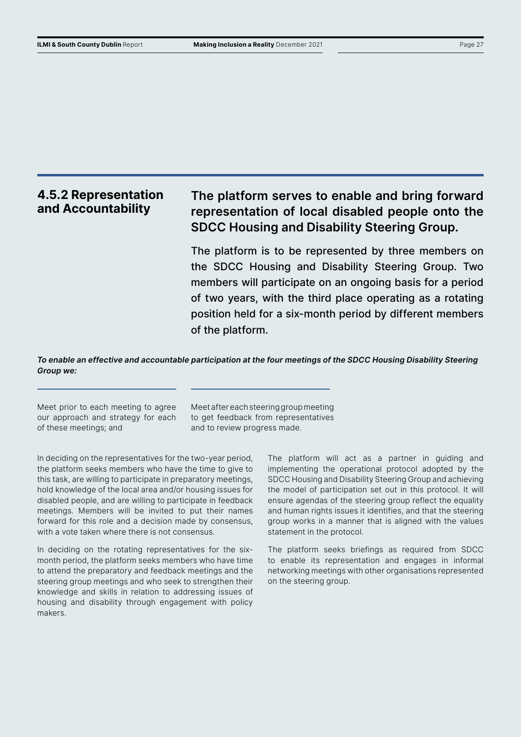### <span id="page-26-0"></span>**4.5.2 Representation and Accountability**

## **The platform serves to enable and bring forward representation of local disabled people onto the SDCC Housing and Disability Steering Group.**

The platform is to be represented by three members on the SDCC Housing and Disability Steering Group. Two members will participate on an ongoing basis for a period of two years, with the third place operating as a rotating position held for a six-month period by different members of the platform.

*To enable an effective and accountable participation at the four meetings of the SDCC Housing Disability Steering Group we:*

Meet prior to each meeting to agree our approach and strategy for each of these meetings; and

Meet after each steering group meeting to get feedback from representatives and to review progress made.

In deciding on the representatives for the two-year period, the platform seeks members who have the time to give to this task, are willing to participate in preparatory meetings, hold knowledge of the local area and/or housing issues for disabled people, and are willing to participate in feedback meetings. Members will be invited to put their names forward for this role and a decision made by consensus, with a vote taken where there is not consensus.

In deciding on the rotating representatives for the sixmonth period, the platform seeks members who have time to attend the preparatory and feedback meetings and the steering group meetings and who seek to strengthen their knowledge and skills in relation to addressing issues of housing and disability through engagement with policy makers.

The platform will act as a partner in guiding and implementing the operational protocol adopted by the SDCC Housing and Disability Steering Group and achieving the model of participation set out in this protocol. It will ensure agendas of the steering group reflect the equality and human rights issues it identifies, and that the steering group works in a manner that is aligned with the values statement in the protocol.

The platform seeks briefings as required from SDCC to enable its representation and engages in informal networking meetings with other organisations represented on the steering group.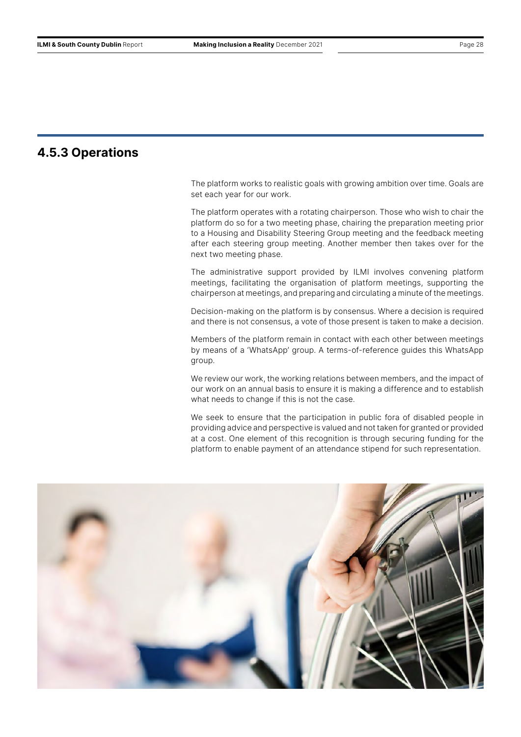### <span id="page-27-0"></span>**4.5.3 Operations**

The platform works to realistic goals with growing ambition over time. Goals are set each year for our work.

The platform operates with a rotating chairperson. Those who wish to chair the platform do so for a two meeting phase, chairing the preparation meeting prior to a Housing and Disability Steering Group meeting and the feedback meeting after each steering group meeting. Another member then takes over for the next two meeting phase.

The administrative support provided by ILMI involves convening platform meetings, facilitating the organisation of platform meetings, supporting the chairperson at meetings, and preparing and circulating a minute of the meetings.

Decision-making on the platform is by consensus. Where a decision is required and there is not consensus, a vote of those present is taken to make a decision.

Members of the platform remain in contact with each other between meetings by means of a 'WhatsApp' group. A terms-of-reference guides this WhatsApp group.

We review our work, the working relations between members, and the impact of our work on an annual basis to ensure it is making a difference and to establish what needs to change if this is not the case.

We seek to ensure that the participation in public fora of disabled people in providing advice and perspective is valued and not taken for granted or provided at a cost. One element of this recognition is through securing funding for the platform to enable payment of an attendance stipend for such representation.

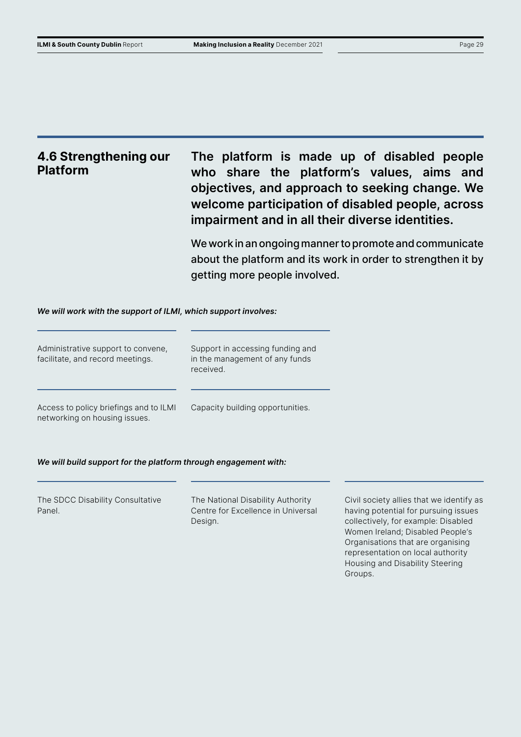### <span id="page-28-0"></span>**4.6 Strengthening our Platform**

**The platform is made up of disabled people who share the platform's values, aims and objectives, and approach to seeking change. We welcome participation of disabled people, across impairment and in all their diverse identities.**

We work in an ongoing manner to promote and communicate about the platform and its work in order to strengthen it by getting more people involved.

#### *We will work with the support of ILMI, which support involves:*

| Administrative support to convene,<br>facilitate, and record meetings.  | Support in accessing funding and<br>in the management of any funds<br>received. |
|-------------------------------------------------------------------------|---------------------------------------------------------------------------------|
| Access to policy briefings and to ILMI<br>networking on housing issues. | Capacity building opportunities.                                                |

#### *We will build support for the platform through engagement with:*

The SDCC Disability Consultative Panel.

The National Disability Authority Centre for Excellence in Universal Design.

Civil society allies that we identify as having potential for pursuing issues collectively, for example: Disabled Women Ireland; Disabled People's Organisations that are organising representation on local authority Housing and Disability Steering Groups.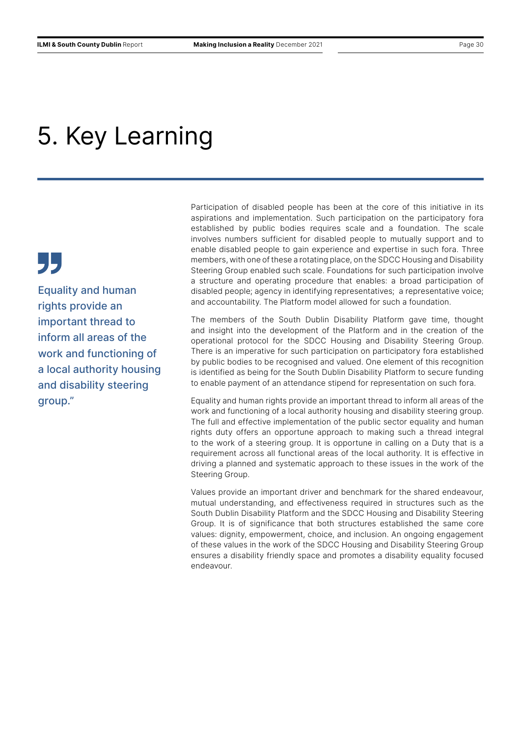# <span id="page-29-0"></span>5. Key Learning

# 95

Equality and human rights provide an important thread to inform all areas of the work and functioning of a local authority housing and disability steering group."

Participation of disabled people has been at the core of this initiative in its aspirations and implementation. Such participation on the participatory fora established by public bodies requires scale and a foundation. The scale involves numbers sufficient for disabled people to mutually support and to enable disabled people to gain experience and expertise in such fora. Three members, with one of these a rotating place, on the SDCC Housing and Disability Steering Group enabled such scale. Foundations for such participation involve a structure and operating procedure that enables: a broad participation of disabled people; agency in identifying representatives; a representative voice; and accountability. The Platform model allowed for such a foundation.

The members of the South Dublin Disability Platform gave time, thought and insight into the development of the Platform and in the creation of the operational protocol for the SDCC Housing and Disability Steering Group. There is an imperative for such participation on participatory fora established by public bodies to be recognised and valued. One element of this recognition is identified as being for the South Dublin Disability Platform to secure funding to enable payment of an attendance stipend for representation on such fora.

Equality and human rights provide an important thread to inform all areas of the work and functioning of a local authority housing and disability steering group. The full and effective implementation of the public sector equality and human rights duty offers an opportune approach to making such a thread integral to the work of a steering group. It is opportune in calling on a Duty that is a requirement across all functional areas of the local authority. It is effective in driving a planned and systematic approach to these issues in the work of the Steering Group.

Values provide an important driver and benchmark for the shared endeavour, mutual understanding, and effectiveness required in structures such as the South Dublin Disability Platform and the SDCC Housing and Disability Steering Group. It is of significance that both structures established the same core values: dignity, empowerment, choice, and inclusion. An ongoing engagement of these values in the work of the SDCC Housing and Disability Steering Group ensures a disability friendly space and promotes a disability equality focused endeavour.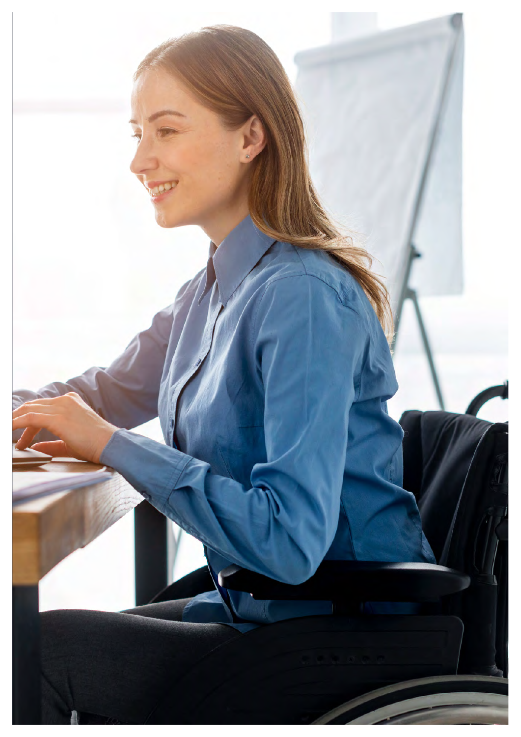